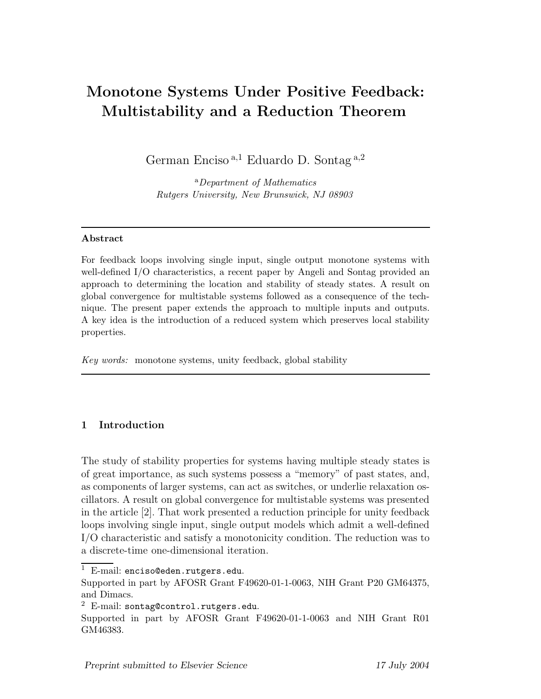# **Monotone Systems Under Positive Feedback: Multistability and a Reduction Theorem**

German Enciso<sup>a,1</sup> Eduardo D. Sontag<sup>a,2</sup>

<sup>a</sup>Department of Mathematics Rutgers University, New Brunswick, NJ 08903

# **Abstract**

For feedback loops involving single input, single output monotone systems with well-defined I/O characteristics, a recent paper by Angeli and Sontag provided an approach to determining the location and stability of steady states. A result on global convergence for multistable systems followed as a consequence of the technique. The present paper extends the approach to multiple inputs and outputs. A key idea is the introduction of a reduced system which preserves local stability properties.

Key words: monotone systems, unity feedback, global stability

# **1 Introduction**

The study of stability properties for systems having multiple steady states is of great importance, as such systems possess a "memory" of past states, and, as components of larger systems, can act as switches, or underlie relaxation oscillators. A result on global convergence for multistable systems was presented in the article [2]. That work presented a reduction principle for unity feedback loops involving single input, single output models which admit a well-defined I/O characteristic and satisfy a monotonicity condition. The reduction was to a discrete-time one-dimensional iteration.

 $1$  E-mail: enciso@eden.rutgers.edu.

Supported in part by AFOSR Grant F49620-01-1-0063, NIH Grant P20 GM64375, and Dimacs.

 $2$  E-mail: sontag@control.rutgers.edu.

Supported in part by AFOSR Grant F49620-01-1-0063 and NIH Grant R01 GM46383.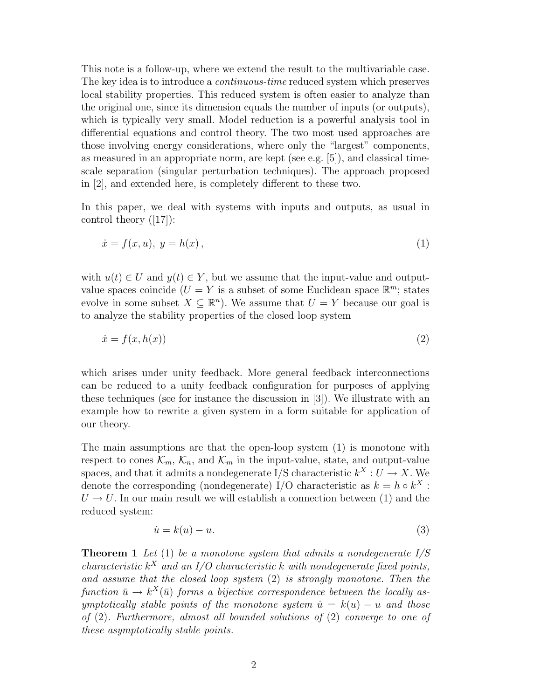This note is a follow-up, where we extend the result to the multivariable case. The key idea is to introduce a *continuous-time* reduced system which preserves local stability properties. This reduced system is often easier to analyze than the original one, since its dimension equals the number of inputs (or outputs), which is typically very small. Model reduction is a powerful analysis tool in differential equations and control theory. The two most used approaches are those involving energy considerations, where only the "largest" components, as measured in an appropriate norm, are kept (see e.g. [5]), and classical timescale separation (singular perturbation techniques). The approach proposed in [2], and extended here, is completely different to these two.

In this paper, we deal with systems with inputs and outputs, as usual in control theory ([17]):

$$
\dot{x} = f(x, u), \ y = h(x), \tag{1}
$$

with  $u(t) \in U$  and  $y(t) \in Y$ , but we assume that the input-value and outputvalue spaces coincide  $(U = Y)$  is a subset of some Euclidean space  $\mathbb{R}^m$ ; states evolve in some subset  $X \subseteq \mathbb{R}^n$ . We assume that  $U = Y$  because our goal is to analyze the stability properties of the closed loop system

$$
\dot{x} = f(x, h(x))\tag{2}
$$

which arises under unity feedback. More general feedback interconnections can be reduced to a unity feedback configuration for purposes of applying these techniques (see for instance the discussion in [3]). We illustrate with an example how to rewrite a given system in a form suitable for application of our theory.

The main assumptions are that the open-loop system (1) is monotone with respect to cones  $\mathcal{K}_m$ ,  $\mathcal{K}_n$ , and  $\mathcal{K}_m$  in the input-value, state, and output-value spaces, and that it admits a nondegenerate I/S characteristic  $k^X : U \to X$ . We denote the corresponding (nondegenerate) I/O characteristic as  $k = h \circ k^X$ :  $U \rightarrow U$ . In our main result we will establish a connection between (1) and the reduced system:

$$
\dot{u} = k(u) - u.\tag{3}
$$

**Theorem 1** *Let* (1) *be a monotone system that admits a nondegenerate I/S characteristic*  $k^X$  *and an I/O characteristic*  $k$  *with nondegenerate fixed points, and assume that the closed loop system* (2) *is strongly monotone. Then the function*  $\bar{u} \rightarrow k^X(\bar{u})$  *forms a bijective correspondence between the locally asymptotically stable points of the monotone system*  $\dot{u} = k(u) - u$  and those *of* (2)*. Furthermore, almost all bounded solutions of* (2) *converge to one of these asymptotically stable points.*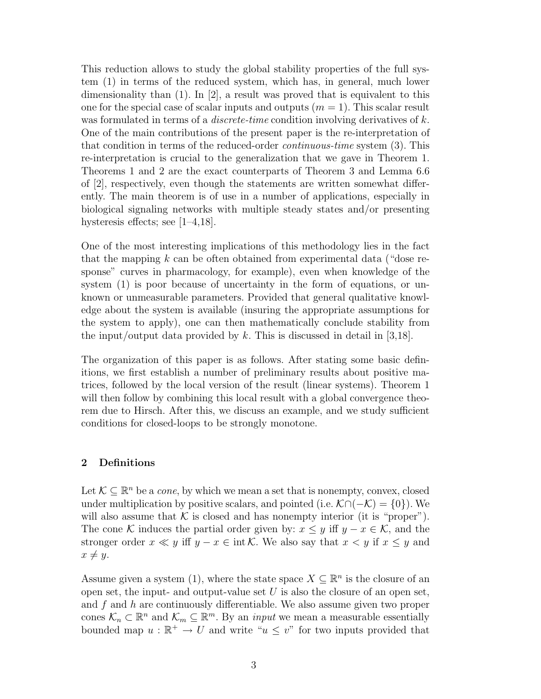This reduction allows to study the global stability properties of the full system (1) in terms of the reduced system, which has, in general, much lower dimensionality than  $(1)$ . In  $[2]$ , a result was proved that is equivalent to this one for the special case of scalar inputs and outputs  $(m = 1)$ . This scalar result was formulated in terms of a *discrete-time* condition involving derivatives of *k*. One of the main contributions of the present paper is the re-interpretation of that condition in terms of the reduced-order *continuous-time* system (3). This re-interpretation is crucial to the generalization that we gave in Theorem 1. Theorems 1 and 2 are the exact counterparts of Theorem 3 and Lemma 6.6 of [2], respectively, even though the statements are written somewhat differently. The main theorem is of use in a number of applications, especially in biological signaling networks with multiple steady states and/or presenting hysteresis effects; see [1–4,18].

One of the most interesting implications of this methodology lies in the fact that the mapping *k* can be often obtained from experimental data ("dose response" curves in pharmacology, for example), even when knowledge of the system (1) is poor because of uncertainty in the form of equations, or unknown or unmeasurable parameters. Provided that general qualitative knowledge about the system is available (insuring the appropriate assumptions for the system to apply), one can then mathematically conclude stability from the input/output data provided by *k*. This is discussed in detail in [3,18].

The organization of this paper is as follows. After stating some basic definitions, we first establish a number of preliminary results about positive matrices, followed by the local version of the result (linear systems). Theorem 1 will then follow by combining this local result with a global convergence theorem due to Hirsch. After this, we discuss an example, and we study sufficient conditions for closed-loops to be strongly monotone.

# **2 Definitions**

Let  $\mathcal{K} \subseteq \mathbb{R}^n$  be a *cone*, by which we mean a set that is nonempty, convex, closed under multiplication by positive scalars, and pointed (i.e.  $\mathcal{K} \cap (-\mathcal{K}) = \{0\}$ ). We will also assume that  $K$  is closed and has nonempty interior (it is "proper"). The cone K induces the partial order given by:  $x \leq y$  iff  $y - x \in \mathcal{K}$ , and the stronger order  $x \ll y$  iff  $y - x \in \text{int }\mathcal{K}$ . We also say that  $x < y$  if  $x \leq y$  and  $x \neq y$ .

Assume given a system (1), where the state space  $X \subseteq \mathbb{R}^n$  is the closure of an open set, the input- and output-value set  $U$  is also the closure of an open set, and *f* and *h* are continuously differentiable. We also assume given two proper cones  $\mathcal{K}_n \subset \mathbb{R}^n$  and  $\mathcal{K}_m \subseteq \mathbb{R}^m$ . By an *input* we mean a measurable essentially bounded map  $u : \mathbb{R}^+ \to U$  and write " $u \leq v$ " for two inputs provided that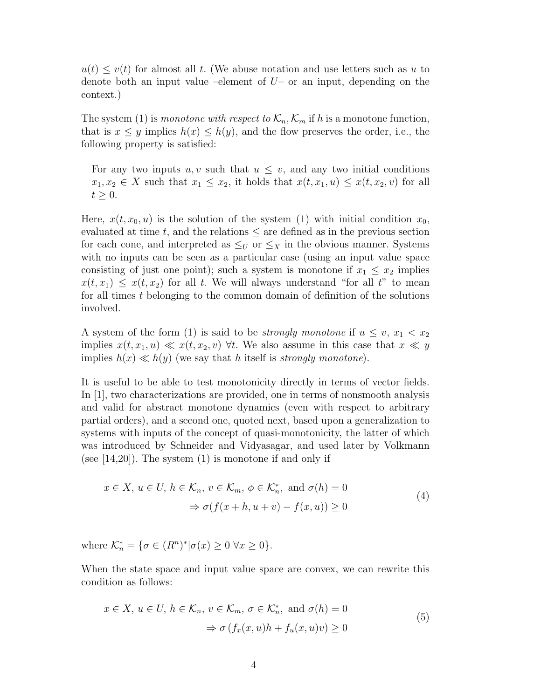$u(t) \leq v(t)$  for almost all *t*. (We abuse notation and use letters such as *u* to denote both an input value –element of *U*– or an input, depending on the context.)

The system (1) is *monotone with respect to*  $\mathcal{K}_n$ ,  $\mathcal{K}_m$  if h is a monotone function, that is  $x \leq y$  implies  $h(x) \leq h(y)$ , and the flow preserves the order, i.e., the following property is satisfied:

For any two inputs  $u, v$  such that  $u \leq v$ , and any two initial conditions  $x_1, x_2 \in X$  such that  $x_1 \leq x_2$ , it holds that  $x(t, x_1, u) \leq x(t, x_2, v)$  for all  $t \geq 0$ .

Here,  $x(t, x_0, u)$  is the solution of the system (1) with initial condition  $x_0$ , evaluated at time  $t$ , and the relations  $\leq$  are defined as in the previous section for each cone, and interpreted as  $\leq_U$  or  $\leq_X$  in the obvious manner. Systems with no inputs can be seen as a particular case (using an input value space consisting of just one point); such a system is monotone if  $x_1 \leq x_2$  implies  $x(t, x_1) \leq x(t, x_2)$  for all *t*. We will always understand "for all *t*" to mean for all times *t* belonging to the common domain of definition of the solutions involved.

A system of the form (1) is said to be *strongly monotone* if  $u \leq v, x_1 < x_2$ implies  $x(t, x_1, u) \ll x(t, x_2, v)$   $\forall t$ . We also assume in this case that  $x \ll y$ implies  $h(x) \ll h(y)$  (we say that *h* itself is *strongly monotone*).

It is useful to be able to test monotonicity directly in terms of vector fields. In [1], two characterizations are provided, one in terms of nonsmooth analysis and valid for abstract monotone dynamics (even with respect to arbitrary partial orders), and a second one, quoted next, based upon a generalization to systems with inputs of the concept of quasi-monotonicity, the latter of which was introduced by Schneider and Vidyasagar, and used later by Volkmann (see  $[14,20]$ ). The system  $(1)$  is monotone if and only if

$$
x \in X, u \in U, h \in \mathcal{K}_n, v \in \mathcal{K}_m, \phi \in \mathcal{K}_n^*, \text{ and } \sigma(h) = 0
$$
  

$$
\Rightarrow \sigma(f(x + h, u + v) - f(x, u)) \ge 0
$$
 (4)

where  $\mathcal{K}_n^* = \{ \sigma \in (R^n)^* | \sigma(x) \geq 0 \; \forall x \geq 0 \}.$ 

When the state space and input value space are convex, we can rewrite this condition as follows:

$$
x \in X, u \in U, h \in \mathcal{K}_n, v \in \mathcal{K}_m, \sigma \in \mathcal{K}_n^*, \text{ and } \sigma(h) = 0
$$
  

$$
\Rightarrow \sigma(f_x(x, u)h + f_u(x, u)v) \ge 0
$$
 (5)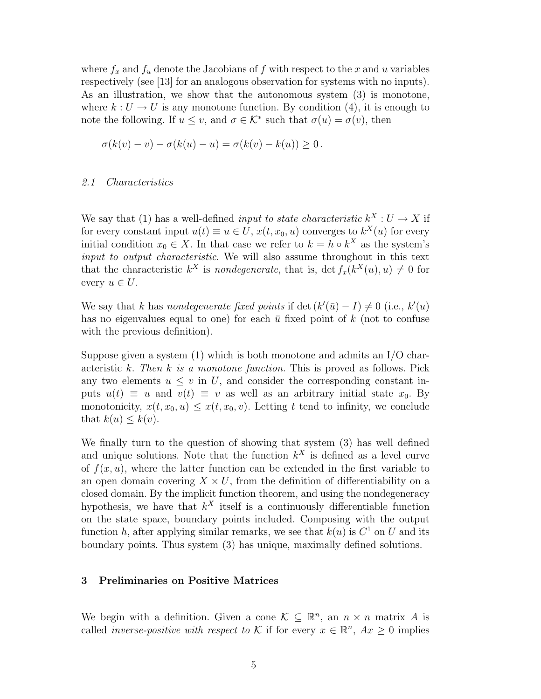where  $f_x$  and  $f_y$  denote the Jacobians of  $f$  with respect to the  $x$  and  $y$  variables respectively (see [13] for an analogous observation for systems with no inputs). As an illustration, we show that the autonomous system (3) is monotone, where  $k: U \to U$  is any monotone function. By condition (4), it is enough to note the following. If  $u \leq v$ , and  $\sigma \in \mathcal{K}^*$  such that  $\sigma(u) = \sigma(v)$ , then

$$
\sigma(k(v) - v) - \sigma(k(u) - u) = \sigma(k(v) - k(u)) \ge 0.
$$

#### *2.1 Characteristics*

We say that (1) has a well-defined *input to state characteristic*  $k^X : U \to X$  if for every constant input  $u(t) \equiv u \in U$ ,  $x(t, x_0, u)$  converges to  $k^X(u)$  for every initial condition  $x_0 \in X$ . In that case we refer to  $k = h \circ k^X$  as the system's *input to output characteristic*. We will also assume throughout in this text that the characteristic  $k^X$  is *nondegenerate*, that is, det  $f_x(k^X(u), u) \neq 0$  for every  $u \in U$ .

We say that *k* has *nondegenerate fixed points* if det  $(k'(\bar{u}) - I) \neq 0$  (i.e.,  $k'(u)$ ) has no eigenvalues equal to one) for each  $\bar{u}$  fixed point of  $k$  (not to confuse with the previous definition).

Suppose given a system  $(1)$  which is both monotone and admits an I/O characteristic *k*. *Then k is a monotone function.* This is proved as follows. Pick any two elements  $u \leq v$  in U, and consider the corresponding constant inputs  $u(t) \equiv u$  and  $v(t) \equiv v$  as well as an arbitrary initial state  $x_0$ . By monotonicity,  $x(t, x_0, u) \leq x(t, x_0, v)$ . Letting t tend to infinity, we conclude that  $k(u) \leq k(v)$ .

We finally turn to the question of showing that system (3) has well defined and unique solutions. Note that the function  $k^X$  is defined as a level curve of  $f(x, u)$ , where the latter function can be extended in the first variable to an open domain covering  $X \times U$ , from the definition of differentiability on a closed domain. By the implicit function theorem, and using the nondegeneracy hypothesis, we have that  $k^X$  itself is a continuously differentiable function on the state space, boundary points included. Composing with the output function *h*, after applying similar remarks, we see that  $k(u)$  is  $C^1$  on *U* and its boundary points. Thus system (3) has unique, maximally defined solutions.

#### **3 Preliminaries on Positive Matrices**

We begin with a definition. Given a cone  $\mathcal{K} \subseteq \mathbb{R}^n$ , an  $n \times n$  matrix A is called *inverse-positive with respect to* K if for every  $x \in \mathbb{R}^n$ ,  $Ax \geq 0$  implies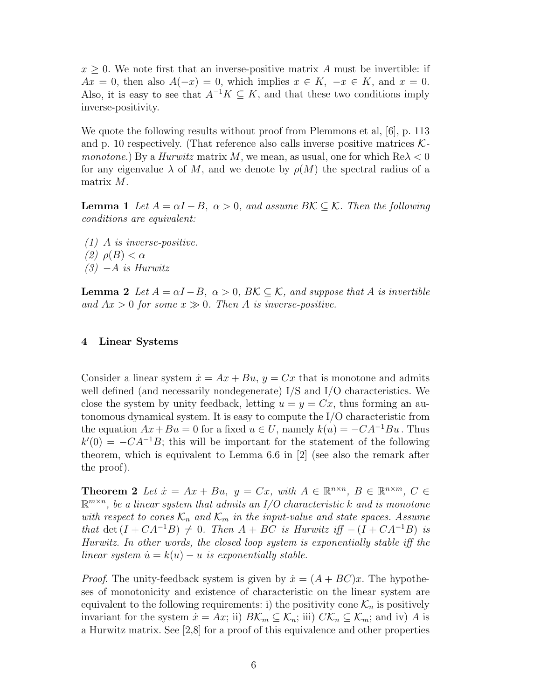$x \geq 0$ . We note first that an inverse-positive matrix *A* must be invertible: if  $Ax = 0$ , then also  $A(-x) = 0$ , which implies  $x \in K$ ,  $-x \in K$ , and  $x = 0$ . Also, it is easy to see that  $A^{-1}K \subseteq K$ , and that these two conditions imply inverse-positivity.

We quote the following results without proof from Plemmons et al, [6], p. 113 and p. 10 respectively. (That reference also calls inverse positive matrices K*monotone*.) By a *Hurwitz* matrix *M*, we mean, as usual, one for which Re*λ <* 0 for any eigenvalue  $\lambda$  of M, and we denote by  $\rho(M)$  the spectral radius of a matrix *M*.

**Lemma 1** *Let*  $A = \alpha I - B$ ,  $\alpha > 0$ , and assume  $B\mathcal{K} \subseteq \mathcal{K}$ . Then the following *conditions are equivalent:*

*(1) A is inverse-positive. (2) ρ*(*B*) *< α (3)* −*A is Hurwitz*

**Lemma 2** *Let*  $A = \alpha I - B$ ,  $\alpha > 0$ ,  $B\mathcal{K} \subseteq \mathcal{K}$ , and suppose that A is invertible and  $Ax > 0$  for some  $x \gg 0$ . Then A is inverse-positive.

#### **4 Linear Systems**

Consider a linear system  $\dot{x} = Ax + Bu$ ,  $y = Cx$  that is monotone and admits well defined (and necessarily nondegenerate) I/S and I/O characteristics. We close the system by unity feedback, letting  $u = y = Cx$ , thus forming an autonomous dynamical system. It is easy to compute the I/O characteristic from the equation  $Ax + Bu = 0$  for a fixed  $u \in U$ , namely  $k(u) = -CA^{-1}Bu$ . Thus  $k'(0) = -CA^{-1}B$ ; this will be important for the statement of the following theorem, which is equivalent to Lemma 6.6 in  $[2]$  (see also the remark after the proof).

**Theorem 2** *Let*  $\dot{x} = Ax + Bu$ ,  $y = Cx$ , with  $A \in \mathbb{R}^{n \times n}$ ,  $B \in \mathbb{R}^{n \times m}$ ,  $C \in$  $\mathbb{R}^{m \times n}$ , be a linear system that admits an I/O characteristic k and is monotone *with respect to cones*  $\mathcal{K}_n$  *and*  $\mathcal{K}_m$  *in the input-value and state spaces. Assume that* det  $(I + CA^{-1}B) \neq 0$ *. Then*  $A + BC$  *is Hurwitz iff* −  $(I + CA^{-1}B)$  *is Hurwitz. In other words, the closed loop system is exponentially stable iff the linear system*  $\dot{u} = k(u) - u$  *is exponentially stable.* 

*Proof.* The unity-feedback system is given by  $\dot{x} = (A + BC)x$ . The hypotheses of monotonicity and existence of characteristic on the linear system are equivalent to the following requirements: i) the positivity cone  $\mathcal{K}_n$  is positively invariant for the system  $\dot{x} = Ax$ ; ii)  $B\mathcal{K}_m \subseteq \mathcal{K}_n$ ; iii)  $C\mathcal{K}_n \subseteq \mathcal{K}_m$ ; and iv) A is a Hurwitz matrix. See [2,8] for a proof of this equivalence and other properties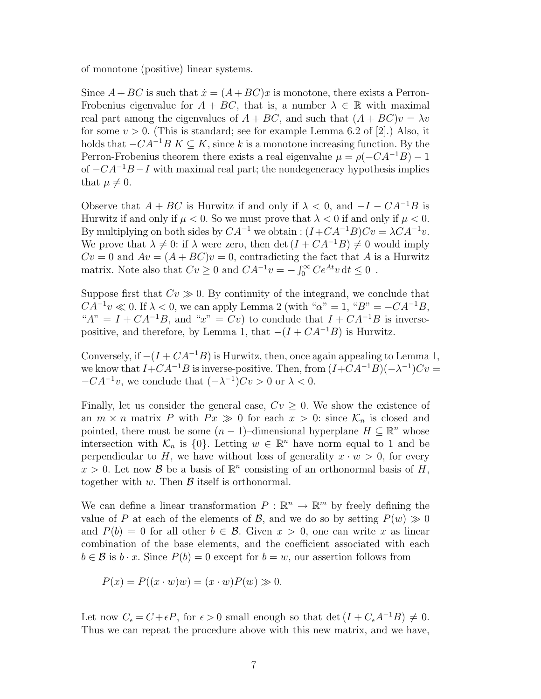of monotone (positive) linear systems.

Since  $A + BC$  is such that  $\dot{x} = (A + BC)x$  is monotone, there exists a Perron-Frobenius eigenvalue for  $A + BC$ , that is, a number  $\lambda \in \mathbb{R}$  with maximal real part among the eigenvalues of  $A + BC$ , and such that  $(A + BC)v = \lambda v$ for some  $v > 0$ . (This is standard; see for example Lemma 6.2 of [2].) Also, it holds that  $-CA^{-1}B K \subseteq K$ , since k is a monotone increasing function. By the Perron-Frobenius theorem there exists a real eigenvalue  $\mu = \rho(-CA^{-1}B) - 1$ of  $-CA^{-1}B-I$  with maximal real part; the nondegeneracy hypothesis implies that  $\mu \neq 0$ .

Observe that  $A + BC$  is Hurwitz if and only if  $\lambda < 0$ , and  $-I - CA^{-1}B$  is Hurwitz if and only if  $\mu < 0$ . So we must prove that  $\lambda < 0$  if and only if  $\mu < 0$ . By multiplying on both sides by  $CA^{-1}$  we obtain :  $(I+CA^{-1}B)Cv = \lambda CA^{-1}v$ . We prove that  $\lambda \neq 0$ : if  $\lambda$  were zero, then det  $(I + CA^{-1}B) \neq 0$  would imply  $Cv = 0$  and  $Av = (A + BC)v = 0$ , contradicting the fact that *A* is a Hurwitz matrix. Note also that  $Cv \ge 0$  and  $CA^{-1}v = -\int_0^\infty Ce^{At}v dt \le 0$ .

Suppose first that  $Cv \gg 0$ . By continuity of the integrand, we conclude that  $CA^{-1}v \ll 0$ . If  $\lambda < 0$ , we can apply Lemma 2 (with " $\alpha$ " = 1, " $B$ " = −*CA*<sup>-1</sup>*B*, " $A'' = I + CA^{-1}B$ , and " $x'' = Cv$ ) to conclude that  $I + CA^{-1}B$  is inversepositive, and therefore, by Lemma 1, that  $-(I + CA^{-1}B)$  is Hurwitz.

Conversely, if  $-(I + CA^{-1}B)$  is Hurwitz, then, once again appealing to Lemma 1, we know that  $I + CA^{-1}B$  is inverse-positive. Then, from  $(I + CA^{-1}B)(-\lambda^{-1})Cv =$  $-CA^{-1}v$ , we conclude that  $(-\lambda^{-1})Cv > 0$  or  $\lambda < 0$ .

Finally, let us consider the general case,  $Cv \geq 0$ . We show the existence of an  $m \times n$  matrix P with  $Px \gg 0$  for each  $x > 0$ : since  $\mathcal{K}_n$  is closed and pointed, there must be some  $(n-1)$ –dimensional hyperplane  $H \subseteq \mathbb{R}^n$  whose intersection with  $\mathcal{K}_n$  is  $\{0\}$ . Letting  $w \in \mathbb{R}^n$  have norm equal to 1 and be perpendicular to *H*, we have without loss of generality  $x \cdot w > 0$ , for every  $x > 0$ . Let now B be a basis of  $\mathbb{R}^n$  consisting of an orthonormal basis of H, together with  $w$ . Then  $\beta$  itself is orthonormal.

We can define a linear transformation  $P : \mathbb{R}^n \to \mathbb{R}^m$  by freely defining the value of P at each of the elements of B, and we do so by setting  $P(w) \gg 0$ and  $P(b) = 0$  for all other  $b \in \mathcal{B}$ . Given  $x > 0$ , one can write x as linear combination of the base elements, and the coefficient associated with each  $b \in \mathcal{B}$  is  $b \cdot x$ . Since  $P(b) = 0$  except for  $b = w$ , our assertion follows from

$$
P(x) = P((x \cdot w)w) = (x \cdot w)P(w) \gg 0.
$$

Let now  $C_{\epsilon} = C + \epsilon P$ , for  $\epsilon > 0$  small enough so that det  $(I + C_{\epsilon}A^{-1}B) \neq 0$ . Thus we can repeat the procedure above with this new matrix, and we have,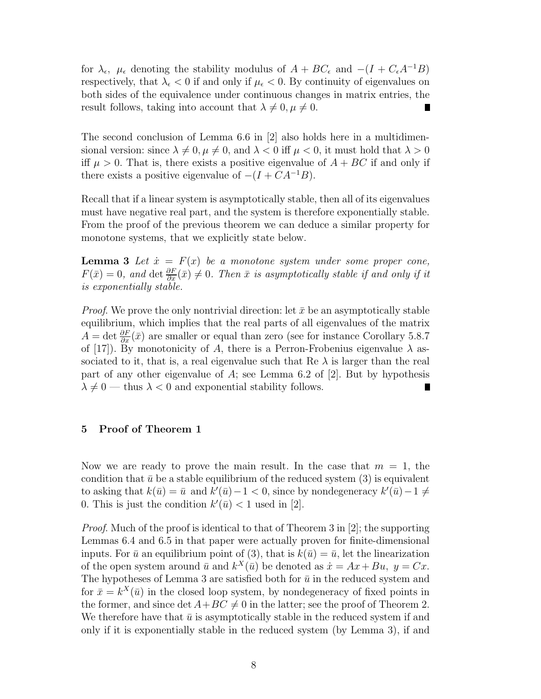for  $\lambda_{\epsilon}$ ,  $\mu_{\epsilon}$  denoting the stability modulus of  $A + BC_{\epsilon}$  and  $-(I + C_{\epsilon}A^{-1}B)$ respectively, that  $\lambda_{\epsilon} < 0$  if and only if  $\mu_{\epsilon} < 0$ . By continuity of eigenvalues on both sides of the equivalence under continuous changes in matrix entries, the result follows, taking into account that  $\lambda \neq 0, \mu \neq 0$ . п

The second conclusion of Lemma 6.6 in [2] also holds here in a multidimensional version: since  $\lambda \neq 0, \mu \neq 0$ , and  $\lambda < 0$  iff  $\mu < 0$ , it must hold that  $\lambda > 0$ iff  $\mu > 0$ . That is, there exists a positive eigenvalue of  $A + BC$  if and only if there exists a positive eigenvalue of  $-(I + CA^{-1}B)$ .

Recall that if a linear system is asymptotically stable, then all of its eigenvalues must have negative real part, and the system is therefore exponentially stable. From the proof of the previous theorem we can deduce a similar property for monotone systems, that we explicitly state below.

**Lemma 3** Let  $\dot{x} = F(x)$  be a monotone system under some proper cone,  $F(\bar{x})=0$ , and  $\det \frac{\partial F}{\partial x}(\bar{x})\neq 0$ . Then  $\bar{x}$  is asymptotically stable if and only if it *is exponentially stable.*

*Proof.* We prove the only nontrivial direction: let  $\bar{x}$  be an asymptotically stable equilibrium, which implies that the real parts of all eigenvalues of the matrix  $A = \det \frac{\partial F}{\partial x}(\bar{x})$  are smaller or equal than zero (see for instance Corollary 5.8.7 of [17]). By monotonicity of *A*, there is a Perron-Frobenius eigenvalue  $\lambda$  associated to it, that is, a real eigenvalue such that Re  $\lambda$  is larger than the real part of any other eigenvalue of *A*; see Lemma 6.2 of [2]. But by hypothesis  $\lambda \neq 0$  — thus  $\lambda < 0$  and exponential stability follows.

# **5 Proof of Theorem 1**

Now we are ready to prove the main result. In the case that  $m = 1$ , the condition that  $\bar{u}$  be a stable equilibrium of the reduced system (3) is equivalent to asking that  $k(\bar{u}) = \bar{u}$  and  $k'(\bar{u}) - 1 < 0$ , since by nondegeneracy  $k'(\bar{u}) - 1 \neq 0$ 0. This is just the condition  $k'(\bar{u}) < 1$  used in [2].

*Proof*. Much of the proof is identical to that of Theorem 3 in [2]; the supporting Lemmas 6.4 and 6.5 in that paper were actually proven for finite-dimensional inputs. For  $\bar{u}$  an equilibrium point of (3), that is  $k(\bar{u})=\bar{u}$ , let the linearization of the open system around  $\bar{u}$  and  $k^X(\bar{u})$  be denoted as  $\dot{x} = Ax + Bu$ ,  $y = Cx$ . The hypotheses of Lemma 3 are satisfied both for  $\bar{u}$  in the reduced system and for  $\bar{x} = k^X(\bar{u})$  in the closed loop system, by nondegeneracy of fixed points in the former, and since  $\det A + BC \neq 0$  in the latter; see the proof of Theorem 2. We therefore have that  $\bar{u}$  is asymptotically stable in the reduced system if and only if it is exponentially stable in the reduced system (by Lemma 3), if and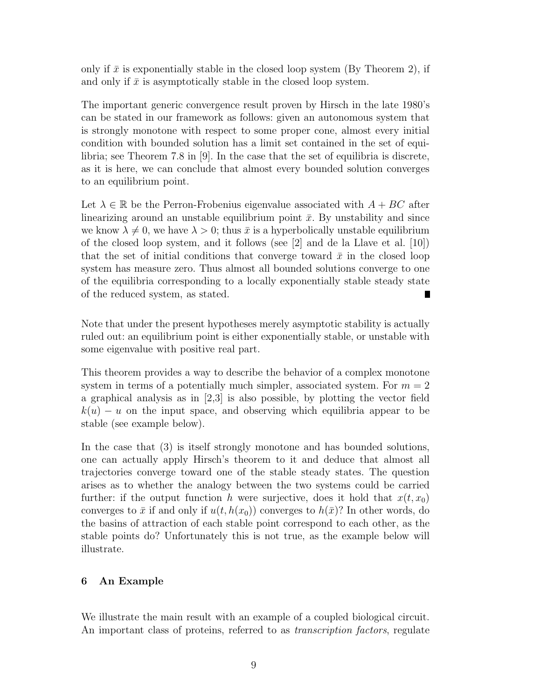only if  $\bar{x}$  is exponentially stable in the closed loop system (By Theorem 2), if and only if  $\bar{x}$  is asymptotically stable in the closed loop system.

The important generic convergence result proven by Hirsch in the late 1980's can be stated in our framework as follows: given an autonomous system that is strongly monotone with respect to some proper cone, almost every initial condition with bounded solution has a limit set contained in the set of equilibria; see Theorem 7.8 in [9]. In the case that the set of equilibria is discrete, as it is here, we can conclude that almost every bounded solution converges to an equilibrium point.

Let  $\lambda \in \mathbb{R}$  be the Perron-Frobenius eigenvalue associated with  $A + BC$  after linearizing around an unstable equilibrium point  $\bar{x}$ . By unstability and since we know  $\lambda \neq 0$ , we have  $\lambda > 0$ ; thus  $\bar{x}$  is a hyperbolically unstable equilibrium of the closed loop system, and it follows (see [2] and de la Llave et al. [10]) that the set of initial conditions that converge toward  $\bar{x}$  in the closed loop system has measure zero. Thus almost all bounded solutions converge to one of the equilibria corresponding to a locally exponentially stable steady state of the reduced system, as stated. Ш

Note that under the present hypotheses merely asymptotic stability is actually ruled out: an equilibrium point is either exponentially stable, or unstable with some eigenvalue with positive real part.

This theorem provides a way to describe the behavior of a complex monotone system in terms of a potentially much simpler, associated system. For  $m = 2$ a graphical analysis as in [2,3] is also possible, by plotting the vector field  $k(u) - u$  on the input space, and observing which equilibria appear to be stable (see example below).

In the case that (3) is itself strongly monotone and has bounded solutions, one can actually apply Hirsch's theorem to it and deduce that almost all trajectories converge toward one of the stable steady states. The question arises as to whether the analogy between the two systems could be carried further: if the output function *h* were surjective, does it hold that  $x(t, x_0)$ converges to  $\bar{x}$  if and only if  $u(t, h(x_0))$  converges to  $h(\bar{x})$ ? In other words, do the basins of attraction of each stable point correspond to each other, as the stable points do? Unfortunately this is not true, as the example below will illustrate.

# **6 An Example**

We illustrate the main result with an example of a coupled biological circuit. An important class of proteins, referred to as *transcription factors*, regulate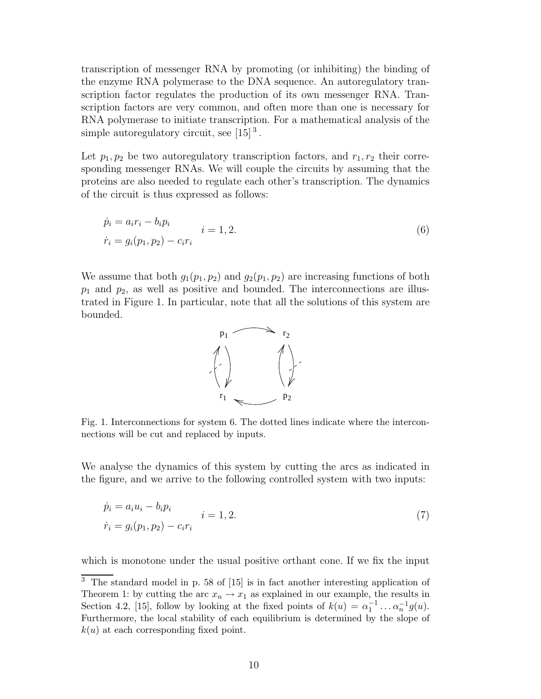transcription of messenger RNA by promoting (or inhibiting) the binding of the enzyme RNA polymerase to the DNA sequence. An autoregulatory transcription factor regulates the production of its own messenger RNA. Transcription factors are very common, and often more than one is necessary for RNA polymerase to initiate transcription. For a mathematical analysis of the simple autoregulatory circuit, see  $[15]$ <sup>3</sup>.

Let  $p_1, p_2$  be two autoregulatory transcription factors, and  $r_1, r_2$  their corresponding messenger RNAs. We will couple the circuits by assuming that the proteins are also needed to regulate each other's transcription. The dynamics of the circuit is thus expressed as follows:

$$
\dot{p}_i = a_i r_i - b_i p_i \n\dot{r}_i = g_i(p_1, p_2) - c_i r_i
$$
\n(6)

We assume that both  $g_1(p_1, p_2)$  and  $g_2(p_1, p_2)$  are increasing functions of both *p*<sup>1</sup> and *p*2, as well as positive and bounded. The interconnections are illustrated in Figure 1. In particular, note that all the solutions of this system are bounded.



Fig. 1. Interconnections for system 6. The dotted lines indicate where the interconnections will be cut and replaced by inputs.

We analyse the dynamics of this system by cutting the arcs as indicated in the figure, and we arrive to the following controlled system with two inputs:

$$
\dot{p}_i = a_i u_i - b_i p_i \n\dot{r}_i = g_i(p_1, p_2) - c_i r_i
$$
\n(7)

which is monotone under the usual positive orthant cone. If we fix the input

<sup>&</sup>lt;sup>3</sup> The standard model in p. 58 of [15] is in fact another interesting application of Theorem 1: by cutting the arc  $x_n \to x_1$  as explained in our example, the results in Section 4.2, [15], follow by looking at the fixed points of  $k(u) = \alpha_1^{-1} \dots \alpha_n^{-1} g(u)$ . Furthermore, the local stability of each equilibrium is determined by the slope of  $k(u)$  at each corresponding fixed point.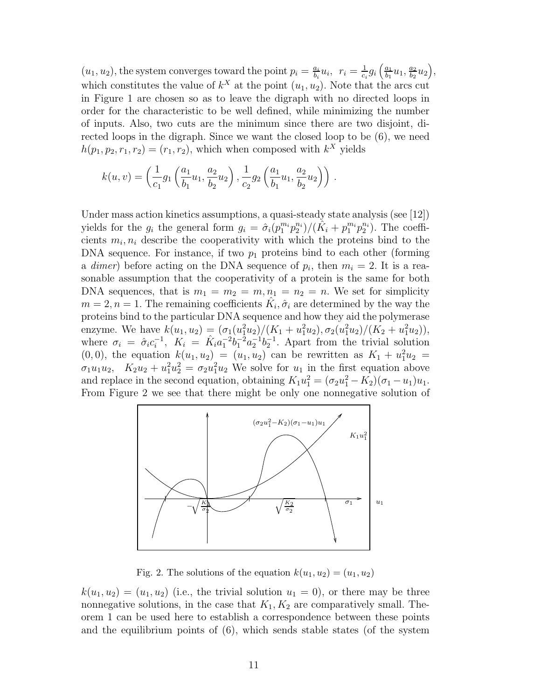$(u_1, u_2)$ , the system converges toward the point  $p_i = \frac{a_i}{b_i} u_i$ ,  $r_i = \frac{1}{c_i} g_i \left( \frac{a_1}{b_1} u_1, \frac{a_2}{b_2} u_2 \right)$ , which constitutes the value of  $k^X$  at the point  $(u_1, u_2)$ . Note that the arcs cut in Figure 1 are chosen so as to leave the digraph with no directed loops in order for the characteristic to be well defined, while minimizing the number of inputs. Also, two cuts are the minimum since there are two disjoint, directed loops in the digraph. Since we want the closed loop to be (6), we need  $h(p_1, p_2, r_1, r_2)=(r_1, r_2)$ , which when composed with  $k^X$  yields

$$
k(u, v) = \left(\frac{1}{c_1}g_1\left(\frac{a_1}{b_1}u_1, \frac{a_2}{b_2}u_2\right), \frac{1}{c_2}g_2\left(\frac{a_1}{b_1}u_1, \frac{a_2}{b_2}u_2\right)\right).
$$

Under mass action kinetics assumptions, a quasi-steady state analysis (see [12]) yields for the  $g_i$  the general form  $g_i = \hat{\sigma}_i (p_1^{m_i} p_2^{n_i})/(\hat{K}_i + p_1^{m_i} p_2^{n_i})$ . The coefficients  $m_i, n_i$  describe the cooperativity with which the proteins bind to the DNA sequence. For instance, if two  $p_1$  proteins bind to each other (forming a *dimer*) before acting on the DNA sequence of  $p_i$ , then  $m_i = 2$ . It is a reasonable assumption that the cooperativity of a protein is the same for both DNA sequences, that is  $m_1 = m_2 = m$ ,  $n_1 = n_2 = n$ . We set for simplicity  $m = 2, n = 1$ . The remaining coefficients  $K_i, \hat{\sigma}_i$  are determined by the way the proteins bind to the particular DNA sequence and how they aid the polymerase enzyme. We have  $k(u_1, u_2) = (\sigma_1(u_1^2 u_2)/(K_1 + u_1^2 u_2), \sigma_2(u_1^2 u_2)/(K_2 + u_1^2 u_2)),$ where  $\sigma_i = \hat{\sigma}_i c_i^{-1}$ ,  $K_i = \hat{K}_i a_1^{-2} b_1^{-2} a_2^{-1} b_2^{-1}$ . Apart from the trivial solution  $(0,0)$ , the equation  $k(u_1, u_2) = (u_1, u_2)$  can be rewritten as  $K_1 + u_1^2 u_2 =$  $\sigma_1 u_1 u_2$ ,  $K_2 u_2 + u_1^2 u_2^2 = \sigma_2 u_1^2 u_2$  We solve for  $u_1$  in the first equation above and replace in the second equation, obtaining  $K_1u_1^2 = (\sigma_2u_1^2 - K_2)(\sigma_1 - u_1)u_1$ . From Figure 2 we see that there might be only one nonnegative solution of



Fig. 2. The solutions of the equation  $k(u_1, u_2)=(u_1, u_2)$ 

 $k(u_1, u_2)=(u_1, u_2)$  (i.e., the trivial solution  $u_1=0$ ), or there may be three nonnegative solutions, in the case that  $K_1, K_2$  are comparatively small. Theorem 1 can be used here to establish a correspondence between these points and the equilibrium points of  $(6)$ , which sends stable states (of the system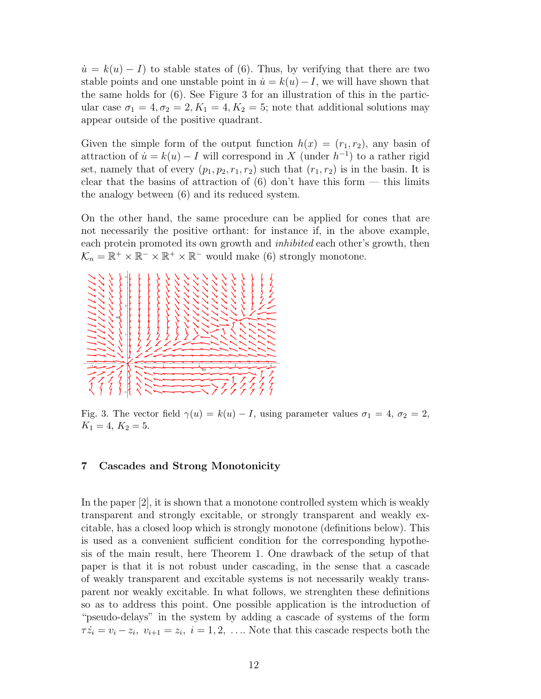$\dot{u} = k(u) - I$  to stable states of (6). Thus, by verifying that there are two stable points and one unstable point in  $\dot{u} = k(u) - I$ , we will have shown that the same holds for (6). See Figure 3 for an illustration of this in the particular case  $\sigma_1 = 4, \sigma_2 = 2, K_1 = 4, K_2 = 5$ ; note that additional solutions may appear outside of the positive quadrant.

Given the simple form of the output function  $h(x)=(r_1, r_2)$ , any basin of attraction of  $\dot{u} = k(u) - I$  will correspond in X (under  $h^{-1}$ ) to a rather rigid set, namely that of every  $(p_1, p_2, r_1, r_2)$  such that  $(r_1, r_2)$  is in the basin. It is clear that the basins of attraction of  $(6)$  don't have this form — this limits the analogy between (6) and its reduced system.

On the other hand, the same procedure can be applied for cones that are not necessarily the positive orthant: for instance if, in the above example, each protein promoted its own growth and *inhibited* each other's growth, then  $\mathcal{K}_n = \mathbb{R}^+ \times \mathbb{R}^- \times \mathbb{R}^+ \times \mathbb{R}^-$  would make (6) strongly monotone.



Fig. 3. The vector field  $\gamma(u) = k(u) - I$ , using parameter values  $\sigma_1 = 4$ ,  $\sigma_2 = 2$ ,  $K_1 = 4, K_2 = 5.$ 

# **7 Cascades and Strong Monotonicity**

In the paper [2], it is shown that a monotone controlled system which is weakly transparent and strongly excitable, or strongly transparent and weakly excitable, has a closed loop which is strongly monotone (definitions below). This is used as a convenient sufficient condition for the corresponding hypothesis of the main result, here Theorem 1. One drawback of the setup of that paper is that it is not robust under cascading, in the sense that a cascade of weakly transparent and excitable systems is not necessarily weakly transparent nor weakly excitable. In what follows, we strenghten these definitions so as to address this point. One possible application is the introduction of "pseudo-delays" in the system by adding a cascade of systems of the form  $\tau \dot{z}_i = v_i - z_i, v_{i+1} = z_i, i = 1, 2, \ldots$  Note that this cascade respects both the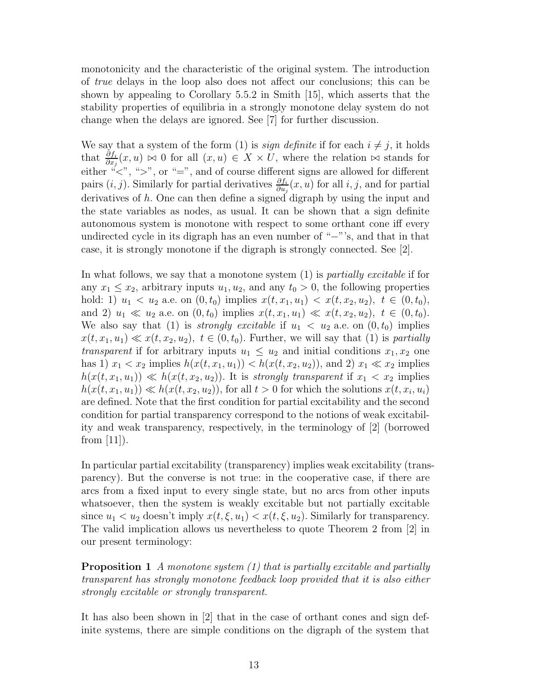monotonicity and the characteristic of the original system. The introduction of *true* delays in the loop also does not affect our conclusions; this can be shown by appealing to Corollary 5.5.2 in Smith [15], which asserts that the stability properties of equilibria in a strongly monotone delay system do not change when the delays are ignored. See [7] for further discussion.

We say that a system of the form (1) is *sign definite* if for each  $i \neq j$ , it holds that  $\frac{\partial f_i}{\partial x_j}(x, u) \bowtie 0$  for all  $(x, u) \in X \times U$ , where the relation  $\bowtie$  stands for either  $\mathscr{C}$ , ">", or "=", and of course different signs are allowed for different pairs  $(i, j)$ . Similarly for partial derivatives  $\frac{\partial f_i}{\partial u_j}(x, u)$  for all *i, j*, and for partial derivatives of *h*. One can then define a signed digraph by using the input and the state variables as nodes, as usual. It can be shown that a sign definite autonomous system is monotone with respect to some orthant cone iff every undirected cycle in its digraph has an even number of "−"'s, and that in that case, it is strongly monotone if the digraph is strongly connected. See [2].

In what follows, we say that a monotone system (1) is *partially excitable* if for any  $x_1 \leq x_2$ , arbitrary inputs  $u_1, u_2$ , and any  $t_0 > 0$ , the following properties hold: 1)  $u_1 < u_2$  a.e. on  $(0, t_0)$  implies  $x(t, x_1, u_1) < x(t, x_2, u_2)$ ,  $t \in (0, t_0)$ , and 2)  $u_1 \ll u_2$  a.e. on  $(0, t_0)$  implies  $x(t, x_1, u_1) \ll x(t, x_2, u_2)$ ,  $t \in (0, t_0)$ . We also say that (1) is *strongly excitable* if  $u_1 < u_2$  a.e. on  $(0, t_0)$  implies  $x(t, x_1, u_1) \ll x(t, x_2, u_2), t \in (0, t_0)$ . Further, we will say that (1) is *partially transparent* if for arbitrary inputs  $u_1 \leq u_2$  and initial conditions  $x_1, x_2$  one has 1)  $x_1 < x_2$  implies  $h(x(t, x_1, u_1)) < h(x(t, x_2, u_2))$ , and 2)  $x_1 \ll x_2$  implies  $h(x(t, x_1, u_1)) \ll h(x(t, x_2, u_2))$ . It is *strongly transparent* if  $x_1 < x_2$  implies  $h(x(t, x_1, u_1)) \ll h(x(t, x_2, u_2))$ , for all  $t > 0$  for which the solutions  $x(t, x_i, u_i)$ are defined. Note that the first condition for partial excitability and the second condition for partial transparency correspond to the notions of weak excitability and weak transparency, respectively, in the terminology of [2] (borrowed from  $|11|$ ).

In particular partial excitability (transparency) implies weak excitability (transparency). But the converse is not true: in the cooperative case, if there are arcs from a fixed input to every single state, but no arcs from other inputs whatsoever, then the system is weakly excitable but not partially excitable since  $u_1 < u_2$  doesn't imply  $x(t, \xi, u_1) < x(t, \xi, u_2)$ . Similarly for transparency. The valid implication allows us nevertheless to quote Theorem 2 from [2] in our present terminology:

**Proposition 1** *A monotone system (1) that is partially excitable and partially transparent has strongly monotone feedback loop provided that it is also either strongly excitable or strongly transparent.*

It has also been shown in [2] that in the case of orthant cones and sign definite systems, there are simple conditions on the digraph of the system that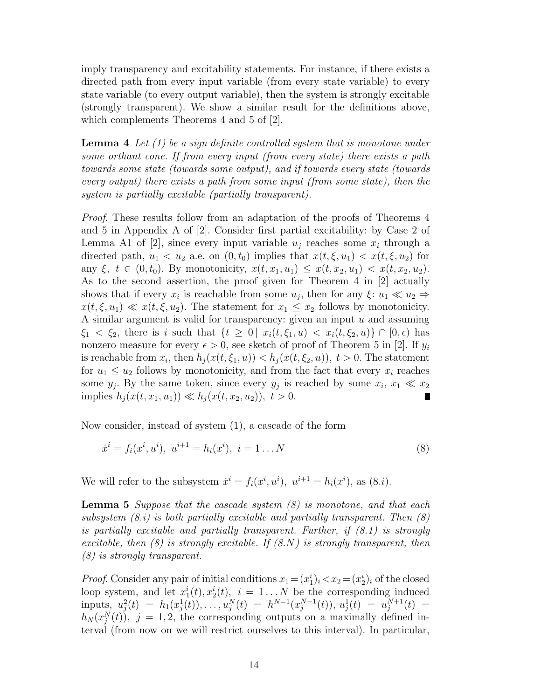imply transparency and excitability statements. For instance, if there exists a directed path from every input variable (from every state variable) to every state variable (to every output variable), then the system is strongly excitable (strongly transparent). We show a similar result for the definitions above, which complements Theorems 4 and 5 of [2].

**Lemma 4** *Let (1) be a sign definite controlled system that is monotone under some orthant cone. If from every input (from every state) there exists a path towards some state (towards some output), and if towards every state (towards every output) there exists a path from some input (from some state), then the system is partially excitable (partially transparent).*

*Proof.* These results follow from an adaptation of the proofs of Theorems 4 and 5 in Appendix A of [2]. Consider first partial excitability: by Case 2 of Lemma A1 of [2], since every input variable  $u_j$  reaches some  $x_i$  through a directed path,  $u_1 < u_2$  a.e. on  $(0, t_0)$  implies that  $x(t, \xi, u_1) < x(t, \xi, u_2)$  for any  $\xi, t \in (0, t_0)$ . By monotonicity,  $x(t, x_1, u_1) \leq x(t, x_2, u_1) < x(t, x_2, u_2)$ . As to the second assertion, the proof given for Theorem 4 in [2] actually shows that if every  $x_i$  is reachable from some  $u_j$ , then for any  $\xi: u_1 \ll u_2 \Rightarrow$  $x(t,\xi,u_1) \ll x(t,\xi,u_2)$ . The statement for  $x_1 \leq x_2$  follows by monotonicity. A similar argument is valid for transparency: given an input *u* and assuming *ξ*<sub>1</sub> < *ξ*<sub>2</sub>, there is *i* such that  $\{t \geq 0 \mid x_i(t, \xi_1, u) < x_i(t, \xi_2, u)\} \cap [0, \epsilon)$  has nonzero measure for every  $\epsilon > 0$ , see sketch of proof of Theorem 5 in [2]. If  $y_i$ is reachable from  $x_i$ , then  $h_j(x(t, \xi_1, u)) < h_j(x(t, \xi_2, u))$ ,  $t > 0$ . The statement for  $u_1 \leq u_2$  follows by monotonicity, and from the fact that every  $x_i$  reaches some  $y_j$ . By the same token, since every  $y_j$  is reached by some  $x_i, x_1 \ll x_2$  $\text{implies } h_j(x(t, x_1, u_1)) \ll h_j(x(t, x_2, u_2)), t > 0.$ 

Now consider, instead of system (1), a cascade of the form

$$
\dot{x}^i = f_i(x^i, u^i), \ u^{i+1} = h_i(x^i), \ i = 1 \dots N
$$
\n(8)

We will refer to the subsystem  $\dot{x}^i = f_i(x^i, u^i)$ ,  $u^{i+1} = h_i(x^i)$ , as  $(8.\dot{i})$ .

**Lemma 5** *Suppose that the cascade system (8) is monotone, and that each subsystem (8.i) is both partially excitable and partially transparent. Then (8) is partially excitable and partially transparent. Further, if (8.1) is strongly excitable, then (8) is strongly excitable. If (8.N) is strongly transparent, then (8) is strongly transparent.*

*Proof.* Consider any pair of initial conditions  $x_1 = (x_1^i)_i < x_2 = (x_2^i)_i$  of the closed loop system, and let  $x_1^i(t), x_2^i(t), i = 1...N$  be the corresponding induced inputs,  $u_j^2(t) = h_1(x_j^1(t)), \ldots, u_j^N(t) = h^{N-1}(x_j^{N-1}(t)), u_j^1(t) = u_j^{N+1}(t) =$  $h_N(x_j^N(t))$ ,  $j = 1, 2$ , the corresponding outputs on a maximally defined interval (from now on we will restrict ourselves to this interval). In particular,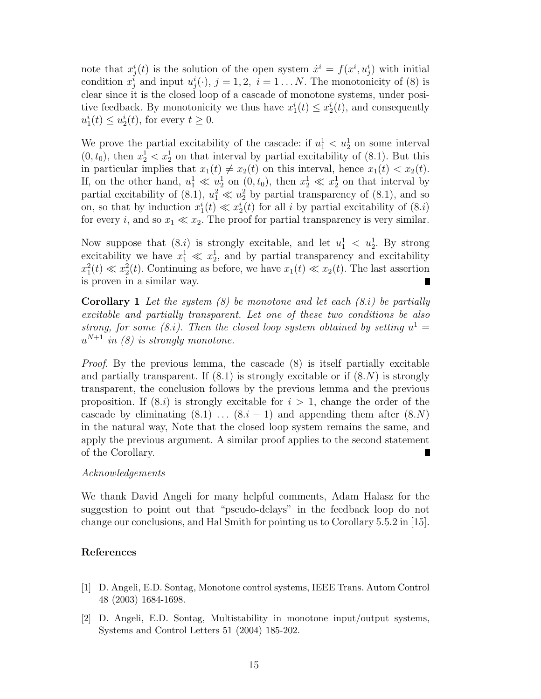note that  $x_j^i(t)$  is the solution of the open system  $\dot{x}^i = f(x^i, u_j^i)$  with initial condition  $x_j^i$  and input  $u_j^i(\cdot)$ ,  $j = 1, 2$ ,  $i = 1...N$ . The monotonicity of (8) is clear since it is the closed loop of a cascade of monotone systems, under positive feedback. By monotonicity we thus have  $x_1^i(t) \leq x_2^i(t)$ , and consequently  $u_1^i(t) \leq u_2^i(t)$ , for every  $t \geq 0$ .

We prove the partial excitability of the cascade: if  $u_1^1 < u_2^1$  on some interval  $(0, t_0)$ , then  $x_2^1 < x_2^1$  on that interval by partial excitability of (8.1). But this in particular implies that  $x_1(t) \neq x_2(t)$  on this interval, hence  $x_1(t) < x_2(t)$ . If, on the other hand,  $u_1^1 \ll u_2^1$  on  $(0, t_0)$ , then  $x_2^1 \ll x_2^1$  on that interval by partial excitability of  $(8.1)$ ,  $u_1^2 \ll u_2^2$  by partial transparency of  $(8.1)$ , and so on, so that by induction  $x_1^i(t) \ll x_2^i(t)$  for all *i* by partial excitability of  $(8.i)$ for every *i*, and so  $x_1 \ll x_2$ . The proof for partial transparency is very similar.

Now suppose that  $(8.i)$  is strongly excitable, and let  $u_1^1 < u_2^1$ . By strong excitability we have  $x_1^1 \ll x_2^1$ , and by partial transparency and excitability  $x_1^2(t) \ll x_2^2(t)$ . Continuing as before, we have  $x_1(t) \ll x_2(t)$ . The last assertion is proven in a similar way.

**Corollary 1** *Let the system (8) be monotone and let each (8.i) be partially excitable and partially transparent. Let one of these two conditions be also strong, for some (8.<i>i*). Then the closed loop system obtained by setting  $u^1 =$  $u^{N+1}$  *in (8) is strongly monotone.* 

*Proof.* By the previous lemma, the cascade  $(8)$  is itself partially excitable and partially transparent. If  $(8.1)$  is strongly excitable or if  $(8. N)$  is strongly transparent, the conclusion follows by the previous lemma and the previous proposition. If  $(8.i)$  is strongly excitable for  $i > 1$ , change the order of the cascade by eliminating  $(8.1)$   $\dots$   $(8.i-1)$  and appending them after  $(8.N)$ in the natural way, Note that the closed loop system remains the same, and apply the previous argument. A similar proof applies to the second statement of the Corollary.

# *Acknowledgements*

We thank David Angeli for many helpful comments, Adam Halasz for the suggestion to point out that "pseudo-delays" in the feedback loop do not change our conclusions, and Hal Smith for pointing us to Corollary 5.5.2 in [15].

# **References**

- [1] D. Angeli, E.D. Sontag, Monotone control systems, IEEE Trans. Autom Control 48 (2003) 1684-1698.
- [2] D. Angeli, E.D. Sontag, Multistability in monotone input/output systems, Systems and Control Letters 51 (2004) 185-202.